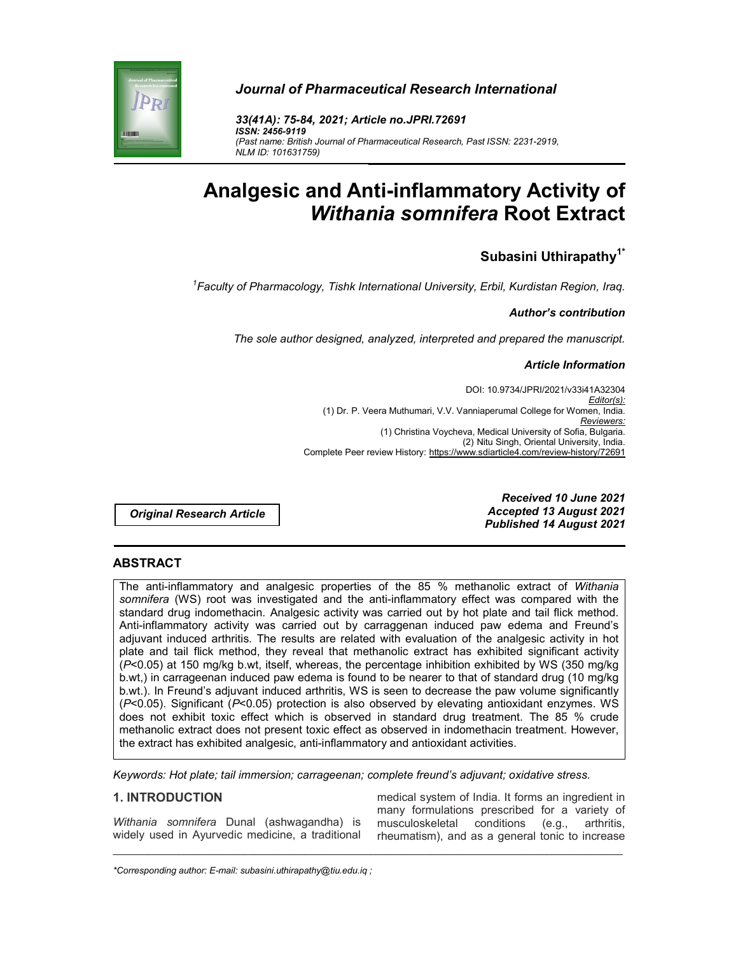



*33(41A): 75-84, 2021; Article no.JPRI.72691 ISSN: 2456-9119 (Past name: British Journal of Pharmaceutical Research, Past ISSN: 2231-2919, NLM ID: 101631759)*

# **Analgesic and Anti-inflammatory Activity of**  *Withania somnifera* **Root Extract**

# **Subasini Uthirapathy1\***

*1 Faculty of Pharmacology, Tishk International University, Erbil, Kurdistan Region, Iraq.*

### *Author's contribution*

*The sole author designed, analyzed, interpreted and prepared the manuscript.*

### *Article Information*

DOI: 10.9734/JPRI/2021/v33i41A32304 *Editor(s):* (1) Dr. P. Veera Muthumari, V.V. Vanniaperumal College for Women, India. *Reviewers:* (1) Christina Voycheva, Medical University of Sofia, Bulgaria. (2) Nitu Singh, Oriental University, India. Complete Peer review History: https://www.sdiarticle4.com/review-history/72691

*Original Research Article*

*Received 10 June 2021 Accepted 13 August 2021 Published 14 August 2021*

# **ABSTRACT**

The anti-inflammatory and analgesic properties of the 85 % methanolic extract of *Withania somnifera* (WS) root was investigated and the anti-inflammatory effect was compared with the standard drug indomethacin. Analgesic activity was carried out by hot plate and tail flick method. Anti-inflammatory activity was carried out by carraggenan induced paw edema and Freund's adjuvant induced arthritis. The results are related with evaluation of the analgesic activity in hot plate and tail flick method, they reveal that methanolic extract has exhibited significant activity (*P*<0.05) at 150 mg/kg b.wt, itself, whereas, the percentage inhibition exhibited by WS (350 mg/kg b.wt,) in carrageenan induced paw edema is found to be nearer to that of standard drug (10 mg/kg b.wt.). In Freund's adjuvant induced arthritis, WS is seen to decrease the paw volume significantly (*P*<0.05). Significant (*P*<0.05) protection is also observed by elevating antioxidant enzymes. WS does not exhibit toxic effect which is observed in standard drug treatment. The 85 % crude methanolic extract does not present toxic effect as observed in indomethacin treatment. However, the extract has exhibited analgesic, anti-inflammatory and antioxidant activities.

*Keywords: Hot plate; tail immersion; carrageenan; complete freund's adjuvant; oxidative stress.*

\_\_\_\_\_\_\_\_\_\_\_\_\_\_\_\_\_\_\_\_\_\_\_\_\_\_\_\_\_\_\_\_\_\_\_\_\_\_\_\_\_\_\_\_\_\_\_\_\_\_\_\_\_\_\_\_\_\_\_\_\_\_\_\_\_\_\_\_\_\_\_\_\_\_\_\_\_\_\_\_\_\_\_\_\_\_\_\_\_\_\_\_\_\_\_\_\_\_\_\_\_

### **1. INTRODUCTION**

*Withania somnifera* Dunal (ashwagandha) is widely used in Ayurvedic medicine, a traditional medical system of India. It forms an ingredient in many formulations prescribed for a variety of musculoskeletal conditions (e.g., arthritis, rheumatism), and as a general tonic to increase

*\*Corresponding author: E-mail: subasini.uthirapathy@tiu.edu.iq ;*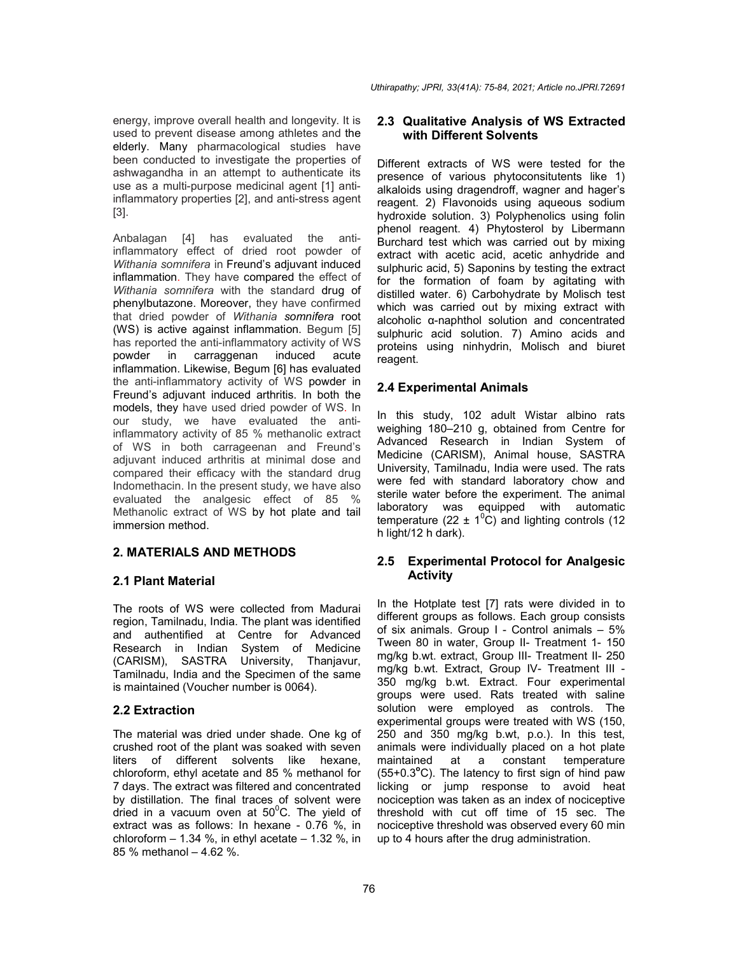*Uthirapathy; JPRI, 33(41A): 75-84, 2021; Article no.JPRI.72691*

energy, improve overall health and longevity. It is used to prevent disease among athletes and the elderly. Many pharmacological studies have been conducted to investigate the properties of ashwagandha in an attempt to authenticate its use as a multi-purpose medicinal agent [1] antiinflammatory properties [2], and anti-stress agent [3].

Anbalagan [4] has evaluated the antiinflammatory effect of dried root powder of *Withania somnifera* in Freund's adjuvant induced inflammation. They have compared the effect of *Withania somnifera* with the standard drug of phenylbutazone. Moreover, they have confirmed that dried powder of *Withania somnifera* root (WS) is active against inflammation. Begum [5] has reported the anti-inflammatory activity of WS powder in carraggenan induced acute inflammation. Likewise, Begum [6] has evaluated the anti-inflammatory activity of WS powder in Freund's adjuvant induced arthritis. In both the models, they have used dried powder of WS. In our study, we have evaluated the antiinflammatory activity of 85 % methanolic extract of WS in both carrageenan and Freund's adjuvant induced arthritis at minimal dose and compared their efficacy with the standard drug Indomethacin. In the present study, we have also evaluated the analgesic effect of 85 % Methanolic extract of WS by hot plate and tail immersion method.

# **2. MATERIALS AND METHODS**

# **2.1 Plant Material**

The roots of WS were collected from Madurai region, Tamilnadu, India. The plant was identified and authentified at Centre for Advanced Research in Indian System of Medicine (CARISM), SASTRA University, Thanjavur, Tamilnadu, India and the Specimen of the same is maintained (Voucher number is 0064).

# **2.2 Extraction**

The material was dried under shade. One kg of crushed root of the plant was soaked with seven liters of different solvents like hexane, chloroform, ethyl acetate and 85 % methanol for 7 days. The extract was filtered and concentrated by distillation. The final traces of solvent were dried in a vacuum oven at  $50^{\circ}$ C. The yield of extract was as follows: In hexane - 0.76 %, in chloroform  $- 1.34$  %, in ethyl acetate  $- 1.32$  %, in 85 % methanol – 4.62 %.

# **2.3 Qualitative Analysis of WS Extracted with Different Solvents**

Different extracts of WS were tested for the presence of various phytoconsitutents like 1) alkaloids using dragendroff, wagner and hager's reagent. 2) Flavonoids using aqueous sodium hydroxide solution. 3) Polyphenolics using folin phenol reagent. 4) Phytosterol by Libermann Burchard test which was carried out by mixing extract with acetic acid, acetic anhydride and sulphuric acid, 5) Saponins by testing the extract for the formation of foam by agitating with distilled water. 6) Carbohydrate by Molisch test which was carried out by mixing extract with alcoholic α-naphthol solution and concentrated sulphuric acid solution. 7) Amino acids and proteins using ninhydrin, Molisch and biuret reagent.

# **2.4 Experimental Animals**

In this study, 102 adult Wistar albino rats weighing 180–210 g, obtained from Centre for Advanced Research in Indian System of Medicine (CARISM), Animal house, SASTRA University, Tamilnadu, India were used. The rats were fed with standard laboratory chow and sterile water before the experiment. The animal laboratory was equipped with automatic temperature (22  $\pm$  1<sup>o</sup>C) and lighting controls (12 h light/12 h dark).

# **2.5 Experimental Protocol for Analgesic Activity**

In the Hotplate test [7] rats were divided in to different groups as follows. Each group consists of six animals. Group I - Control animals – 5% Tween 80 in water, Group II- Treatment 1- 150 mg/kg b.wt. extract, Group III- Treatment II- 250 mg/kg b.wt. Extract, Group IV- Treatment III - 350 mg/kg b.wt. Extract. Four experimental groups were used. Rats treated with saline solution were employed as controls. The experimental groups were treated with WS (150, 250 and 350 mg/kg b.wt, p.o.). In this test, animals were individually placed on a hot plate maintained at a constant temperature (55+0.3**<sup>o</sup>** C). The latency to first sign of hind paw licking or jump response to avoid heat nociception was taken as an index of nociceptive threshold with cut off time of 15 sec. The nociceptive threshold was observed every 60 min up to 4 hours after the drug administration.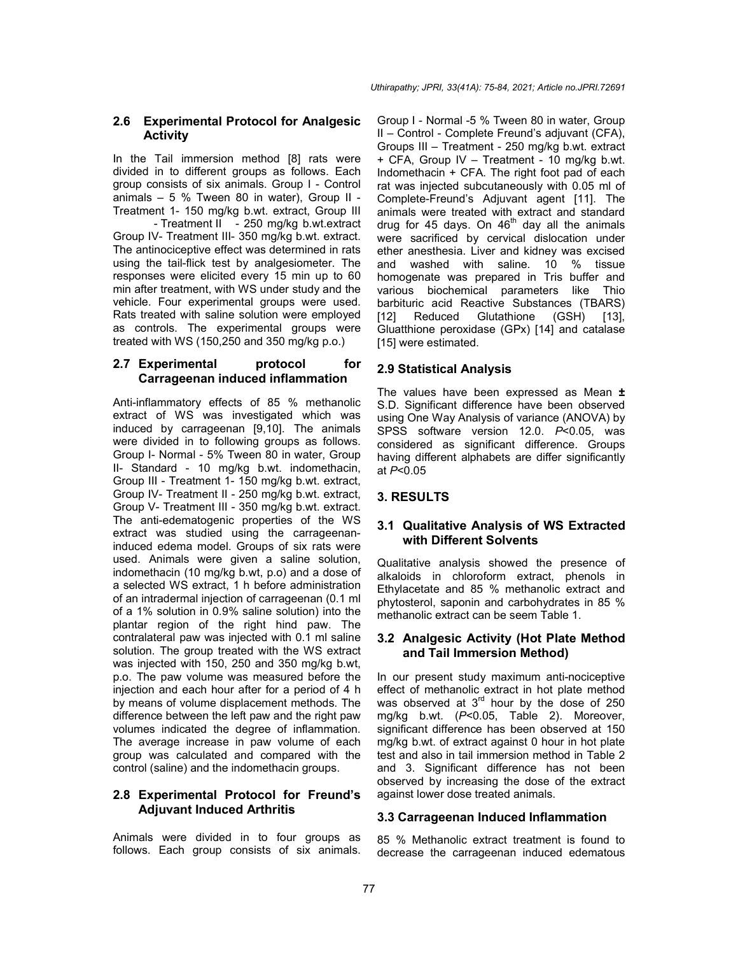### **2.6 Experimental Protocol for Analgesic Activity**

In the Tail immersion method [8] rats were divided in to different groups as follows. Each group consists of six animals. Group I - Control animals – 5 % Tween 80 in water), Group II - Treatment 1- 150 mg/kg b.wt. extract, Group III

- Treatment II - 250 mg/kg b.wt.extract Group IV- Treatment III- 350 mg/kg b.wt. extract. The antinociceptive effect was determined in rats using the tail-flick test by analgesiometer. The responses were elicited every 15 min up to 60 min after treatment, with WS under study and the vehicle. Four experimental groups were used. Rats treated with saline solution were employed as controls. The experimental groups were treated with WS (150,250 and 350 mg/kg p.o.)

### **2.7 Experimental protocol for Carrageenan induced inflammation**

Anti-inflammatory effects of 85 % methanolic extract of WS was investigated which was induced by carrageenan [9,10]. The animals were divided in to following groups as follows. Group I- Normal - 5% Tween 80 in water, Group II- Standard - 10 mg/kg b.wt. indomethacin, Group III - Treatment 1- 150 mg/kg b.wt. extract, Group IV- Treatment II - 250 mg/kg b.wt. extract, Group V- Treatment III - 350 mg/kg b.wt. extract. The anti-edematogenic properties of the WS extract was studied using the carrageenaninduced edema model. Groups of six rats were used. Animals were given a saline solution, indomethacin (10 mg/kg b.wt, p.o) and a dose of a selected WS extract, 1 h before administration of an intradermal injection of carrageenan (0.1 ml of a 1% solution in 0.9% saline solution) into the plantar region of the right hind paw. The contralateral paw was injected with 0.1 ml saline solution. The group treated with the WS extract was injected with 150, 250 and 350 mg/kg b.wt, p.o. The paw volume was measured before the injection and each hour after for a period of 4 h by means of volume displacement methods. The difference between the left paw and the right paw volumes indicated the degree of inflammation. The average increase in paw volume of each group was calculated and compared with the control (saline) and the indomethacin groups.

### **2.8 Experimental Protocol for Freund's Adjuvant Induced Arthritis**

Animals were divided in to four groups as follows. Each group consists of six animals. Group I - Normal -5 % Tween 80 in water, Group II – Control - Complete Freund's adjuvant (CFA), Groups III – Treatment - 250 mg/kg b.wt. extract + CFA, Group IV – Treatment - 10 mg/kg b.wt. Indomethacin + CFA. The right foot pad of each rat was injected subcutaneously with 0.05 ml of Complete-Freund's Adjuvant agent [11]. The animals were treated with extract and standard drug for 45 days. On  $46<sup>th</sup>$  day all the animals were sacrificed by cervical dislocation under ether anesthesia. Liver and kidney was excised and washed with saline. 10 % tissue homogenate was prepared in Tris buffer and various biochemical parameters like Thio barbituric acid Reactive Substances (TBARS) [12] Reduced Glutathione (GSH) [13], Gluatthione peroxidase (GPx) [14] and catalase [15] were estimated.

# **2.9 Statistical Analysis**

The values have been expressed as Mean **±**  S.D. Significant difference have been observed using One Way Analysis of variance (ANOVA) by SPSS software version 12.0. *P*<0.05, was considered as significant difference. Groups having different alphabets are differ significantly at *P*<0.05

# **3. RESULTS**

# **3.1 Qualitative Analysis of WS Extracted with Different Solvents**

Qualitative analysis showed the presence of alkaloids in chloroform extract, phenols in Ethylacetate and 85 % methanolic extract and phytosterol, saponin and carbohydrates in 85 % methanolic extract can be seem Table 1.

# **3.2 Analgesic Activity (Hot Plate Method and Tail Immersion Method)**

In our present study maximum anti-nociceptive effect of methanolic extract in hot plate method was observed at  $3<sup>rd</sup>$  hour by the dose of 250 mg/kg b.wt. (*P*<0.05, Table 2). Moreover, significant difference has been observed at 150 mg/kg b.wt. of extract against 0 hour in hot plate test and also in tail immersion method in Table 2 and 3. Significant difference has not been observed by increasing the dose of the extract against lower dose treated animals.

# **3.3 Carrageenan Induced Inflammation**

85 % Methanolic extract treatment is found to decrease the carrageenan induced edematous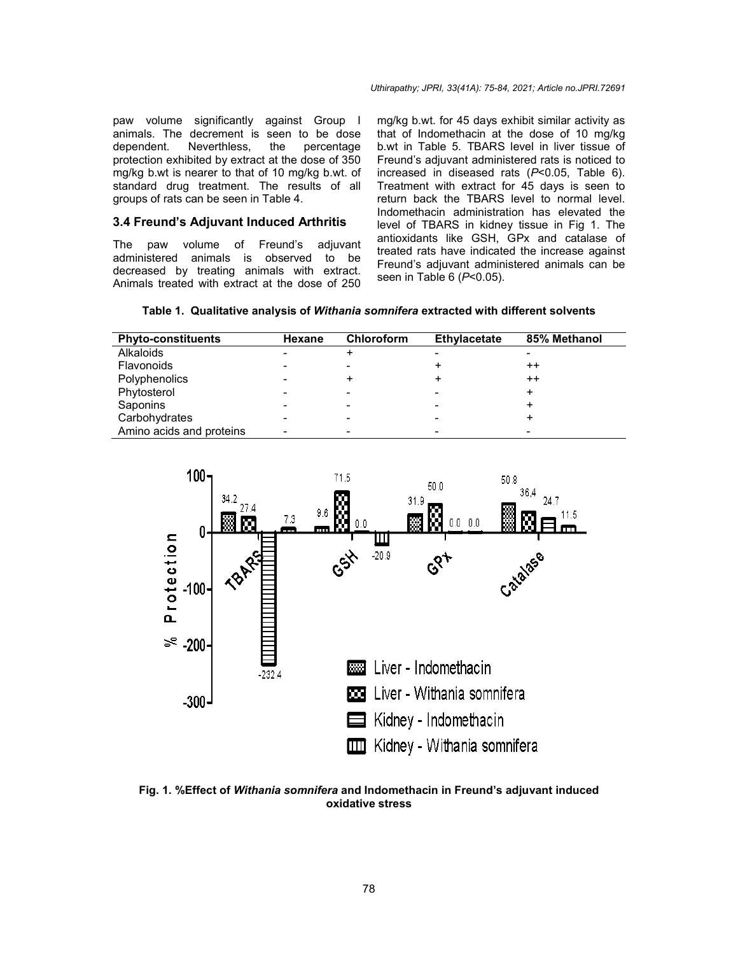paw volume significantly against Group I animals. The decrement is seen to be dose dependent. Neverthless, the percentage protection exhibited by extract at the dose of 350 mg/kg b.wt is nearer to that of 10 mg/kg b.wt. of animals. The decrement is seen to be dose<br>dependent. Neverthless, the percentage<br>protection exhibited by extract at the dose of 350<br>mg/kg b.wt is nearer to that of 10 mg/kg b.wt. of<br>standard drug treatment. The results of groups of rats can be seen in Table 4.

#### **3.4 Freund's Adjuvant Induced Arthri Arthritis**

The paw volume of Freund's adjuvant administered animals is observed to be decreased by treating animals with extract. Animals treated with extract at the dose of 250

many volume significantly against Group 1 mg/kg b.wt. for 45 days exhibit similar activity as<br>animals. The decrement is seen to be dose that of Indomethacin at the dose of 10 mg/kg<br>dependent. Neverthless, the percentage b mg/kg b.wt. for 45 days exhibit similar activity as<br>that of Indomethacin at the dose of 10 mg/kg b.wt in Table 5. TBARS level in liver tissue of Freund's adjuvant administered rats is noticed to increased in diseased rats (*P*<0.05, Table 6). Treatment with extract for 45 days is seen to return back the TBARS level to normal level. Indomethacin administration has elevated the level of TBARS in kidney tissue in Fig 1. The antioxidants like GSH, GPx and catalase of treated rats have indicated the increase against Freund's adjuvant administered animals can be seen in Table 6 (*P*<0.05). 5. TBARS level in liver tissue of<br>ant administered rats is noticed to<br>liseased rats  $(P<0.05$ , Table 6).<br>1 extract for 45 days is seen to<br>e TBARS level to normal level.<br>administration has elevated the<br>5 in kidney tissue in

|  |  |  |  | Table 1. Qualitative analysis of Withania somnifera extracted with different solvents |
|--|--|--|--|---------------------------------------------------------------------------------------|
|--|--|--|--|---------------------------------------------------------------------------------------|

| <b>Phyto-constituents</b> | Hexane | <b>Chloroform</b> | Ethylacetate | 85% Methanol    |
|---------------------------|--------|-------------------|--------------|-----------------|
| Alkaloids                 |        |                   |              |                 |
| Flavonoids                |        |                   |              | $^{\mathrm{+}}$ |
| Polyphenolics             |        | +                 |              | $^{\mathrm{+}}$ |
| Phytosterol               |        |                   |              | +               |
| Saponins                  |        |                   |              |                 |
| Carbohydrates             |        |                   |              |                 |
| Amino acids and proteins  |        |                   |              |                 |



**Fig. 1. %Effect of** *Withania somnifera somnifera* **and Indomethacin in Freund's adjuvant induced oxidative stress**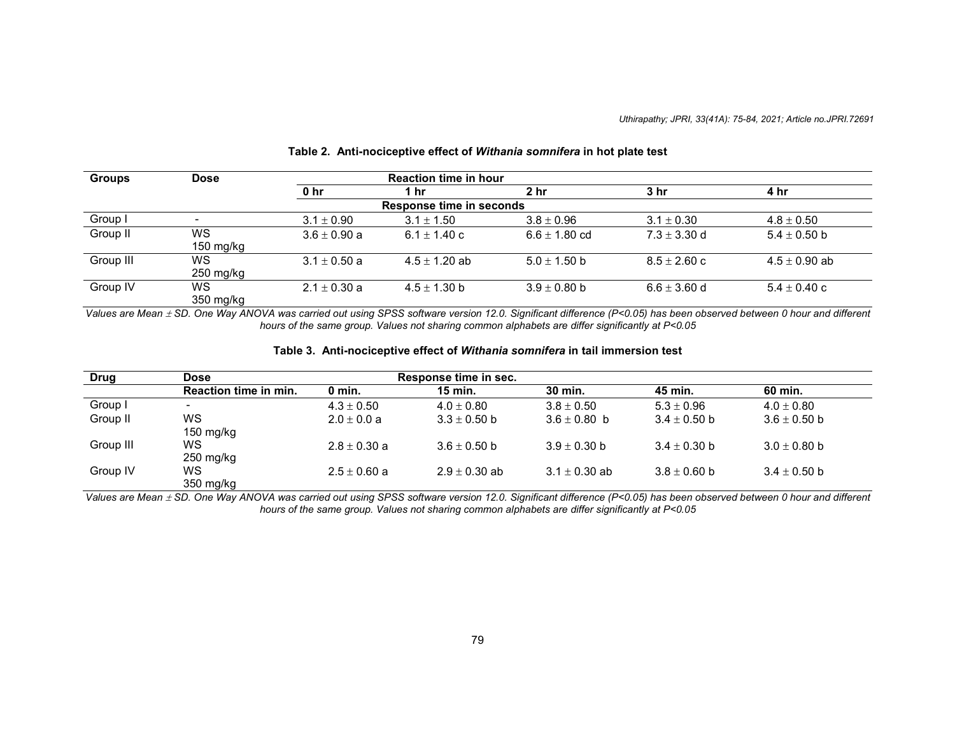| <b>Groups</b> | <b>Dose</b>              |                  | <b>Reaction time in hour</b> |                   |                  |                   |
|---------------|--------------------------|------------------|------------------------------|-------------------|------------------|-------------------|
|               |                          | 0 <sub>hr</sub>  | 1 hr                         | 2 hr              | 3 hr             | 4 hr              |
|               |                          |                  | Response time in seconds     |                   |                  |                   |
| Group I       | $\overline{\phantom{a}}$ | $3.1 \pm 0.90$   | $3.1 \pm 1.50$               | $3.8 \pm 0.96$    | $3.1 \pm 0.30$   | $4.8 \pm 0.50$    |
| Group II      | WS<br>150 mg/kg          | $3.6 \pm 0.90$ a | 6.1 $\pm$ 1.40 c             | $6.6 \pm 1.80$ cd | $7.3 \pm 3.30$ d | $5.4 \pm 0.50$ b  |
| Group III     | ws<br>$250$ mg/kg        | $3.1 \pm 0.50$ a | $4.5 \pm 1.20$ ab            | $5.0 \pm 1.50$ b  | $8.5 \pm 2.60$ c | $4.5 \pm 0.90$ ab |
| Group IV      | WS<br>350 mg/kg          | $2.1 \pm 0.30$ a | $4.5 \pm 1.30$ b             | $3.9 \pm 0.80$ b  | $6.6 \pm 3.60$ d | $5.4 \pm 0.40$ c  |

#### **Table 2. Anti-nociceptive effect of** *Withania somnifera* **in hot plate test**

*Values are Mean SD. One Way ANOVA was carried out using SPSS software version 12.0. Significant difference (P<0.05) has been observed between 0 hour and different hours of the same group. Values not sharing common alphabets are differ significantly at P<0.05*

#### **Table 3. Anti-nociceptive effect of** *Withania somnifera* **in tail immersion test**

| Drug      | <b>Dose</b>           |                  | Response time in sec. |                   |                  |                  |
|-----------|-----------------------|------------------|-----------------------|-------------------|------------------|------------------|
|           | Reaction time in min. | 0 min.           | 15 min.               | 30 min.           | 45 min.          | 60 min.          |
| Group I   |                       | $4.3 \pm 0.50$   | $4.0 \pm 0.80$        | $3.8 \pm 0.50$    | $5.3 \pm 0.96$   | $4.0 \pm 0.80$   |
| Group II  | WS<br>$150$ mg/kg     | $2.0 \pm 0.0 a$  | $3.3 \pm 0.50$ b      | $3.6 \pm 0.80$ b  | $3.4 \pm 0.50$ b | $3.6 \pm 0.50$ b |
| Group III | ws<br>$250$ mg/kg     | $2.8 \pm 0.30$ a | $3.6 \pm 0.50$ b      | $3.9 \pm 0.30$ b  | $3.4 \pm 0.30$ b | $3.0 \pm 0.80$ b |
| Group IV  | WS.<br>350 mg/kg      | $2.5 \pm 0.60$ a | $2.9 \pm 0.30$ ab     | $3.1 \pm 0.30$ ab | $3.8 \pm 0.60$ b | $3.4 \pm 0.50$ b |

*Values are Mean SD. One Way ANOVA was carried out using SPSS software version 12.0. Significant difference (P<0.05) has been observed between 0 hour and different hours of the same group. Values not sharing common alphabets are differ significantly at P<0.05*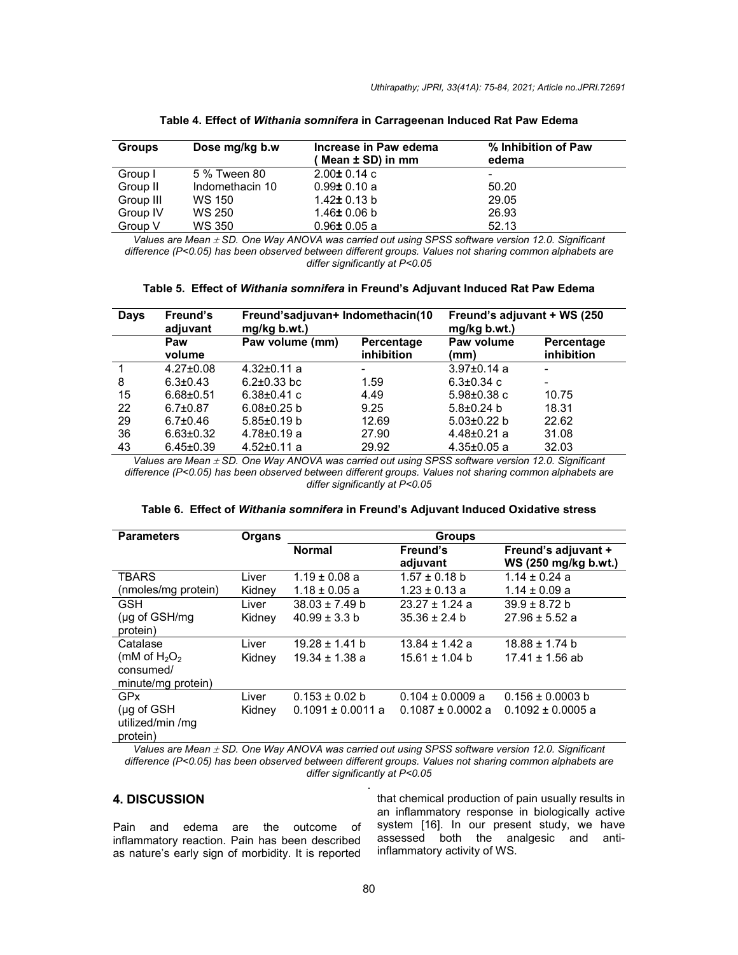| <b>Groups</b> | Dose mg/kg b.w  | Increase in Paw edema | % Inhibition of Paw |
|---------------|-----------------|-----------------------|---------------------|
|               |                 | ( Mean ± SD) in mm    | edema               |
| Group I       | 5 % Tween 80    | $2.00 \pm 0.14$ c     |                     |
| Group II      | Indomethacin 10 | $0.99 \pm 0.10$ a     | 50.20               |
| Group III     | WS 150          | 1.42± 0.13 b          | 29.05               |
| Group IV      | WS 250          | 1.46± 0.06 b          | 26.93               |
| Group V       | WS 350          | $0.96 \pm 0.05$ a     | 52.13               |

**Table 4. Effect of** *Withania somnifera* **in Carrageenan Induced Rat Paw Edema**

*Values are Mean SD. One Way ANOVA was carried out using SPSS software version 12.0. Significant difference (P<0.05) has been observed between different groups. Values not sharing common alphabets are differ significantly at P<0.05*

| Table 5. Effect of Withania somnifera in Freund's Adjuvant Induced Rat Paw Edema |  |
|----------------------------------------------------------------------------------|--|
|----------------------------------------------------------------------------------|--|

| Days | Freund's<br>adjuvant | Freund'sadjuvan+ Indomethacin(10<br>mg/kg b.wt.) |                          | Freund's adjuvant + WS (250<br>mg/kg b.wt.) |                          |
|------|----------------------|--------------------------------------------------|--------------------------|---------------------------------------------|--------------------------|
|      | Paw<br>volume        | Paw volume (mm)                                  | Percentage<br>inhibition | Paw volume<br>(mm)                          | Percentage<br>inhibition |
|      | $4.27 \pm 0.08$      | $4.32 \pm 0.11$ a                                | $\overline{\phantom{a}}$ | $3.97 \pm 0.14$ a                           |                          |
| 8    | $6.3 \pm 0.43$       | $6.2 \pm 0.33$ bc                                | 1.59                     | $6.3 \pm 0.34$ c                            |                          |
| 15   | $6.68 \pm 0.51$      | $6.38 \pm 0.41$ c                                | 4.49                     | $5.98 \pm 0.38$ c                           | 10.75                    |
| 22   | $6.7 \pm 0.87$       | $6.08 \pm 0.25$ b                                | 9.25                     | $5.8 \pm 0.24$ b                            | 18.31                    |
| 29   | $6.7{\pm}0.46$       | $5.85 \pm 0.19$ b                                | 12.69                    | $5.03 \pm 0.22$ b                           | 22.62                    |
| 36   | $6.63 \pm 0.32$      | $4.78 \pm 0.19$ a                                | 27.90                    | $4.48 \pm 0.21$ a                           | 31.08                    |
| 43   | $6.45 \pm 0.39$      | $4.52 \pm 0.11$ a                                | 29.92                    | $4.35 \pm 0.05$ a                           | 32.03                    |

Values are Mean  $\pm$  SD. One Way ANOVA was carried out using SPSS software version 12.0. Significant *difference (P<0.05) has been observed between different groups. Values not sharing common alphabets are differ significantly at P<0.05*

| Table 6.  Effect of <i>Withania somnifera</i> in Freund's Adjuvant Induced Oxidative stress |  |
|---------------------------------------------------------------------------------------------|--|
|---------------------------------------------------------------------------------------------|--|

| <b>Parameters</b>                                         | Organs | <b>Groups</b>         |                       |                                             |  |
|-----------------------------------------------------------|--------|-----------------------|-----------------------|---------------------------------------------|--|
|                                                           |        | <b>Normal</b>         | Freund's<br>adjuvant  | Freund's adjuvant +<br>WS (250 mg/kg b.wt.) |  |
| <b>TBARS</b>                                              | Liver  | $1.19 \pm 0.08$ a     | $1.57 \pm 0.18$ b     | $1.14 \pm 0.24$ a                           |  |
| (nmoles/mg protein)                                       | Kidnev | $1.18 \pm 0.05$ a     | $1.23 \pm 0.13$ a     | $1.14 \pm 0.09$ a                           |  |
| GSH                                                       | Liver  | $38.03 \pm 7.49$ b    | $23.27 \pm 1.24$ a    | $39.9 \pm 8.72$ b                           |  |
| $(\mu g \text{ of } GSH/mg)$<br>protein)                  | Kidney | $40.99 \pm 3.3$ b     | $35.36 \pm 2.4$ b     | $27.96 \pm 5.52$ a                          |  |
| Catalase                                                  | Liver  | $19.28 \pm 1.41$ b    | $13.84 \pm 1.42$ a    | $18.88 \pm 1.74$ b                          |  |
| (mM of $H_2O_2$                                           | Kidney | $19.34 \pm 1.38$ a    | $15.61 \pm 1.04$ b    | $17.41 \pm 1.56$ ab                         |  |
| consumed/<br>minute/mg protein)                           |        |                       |                       |                                             |  |
| <b>GPx</b>                                                | Liver  | $0.153 \pm 0.02$ b    | $0.104 \pm 0.0009$ a  | $0.156 \pm 0.0003$ b                        |  |
| $(\mu g \text{ of } GSH)$<br>utilized/min /mg<br>protein) | Kidney | $0.1091 \pm 0.0011$ a | $0.1087 \pm 0.0002$ a | $0.1092 \pm 0.0005$ a                       |  |

Values are Mean  $\pm$  SD. One Way ANOVA was carried out using SPSS software version 12.0. Significant *difference (P<0.05) has been observed between different groups. Values not sharing common alphabets are differ significantly at P<0.05* .

### **4. DISCUSSION**

Pain and edema are the outcome of inflammatory reaction. Pain has been described as nature's early sign of morbidity. It is reported that chemical production of pain usually results in an inflammatory response in biologically active system [16]. In our present study, we have assessed both the analgesic and antiinflammatory activity of WS.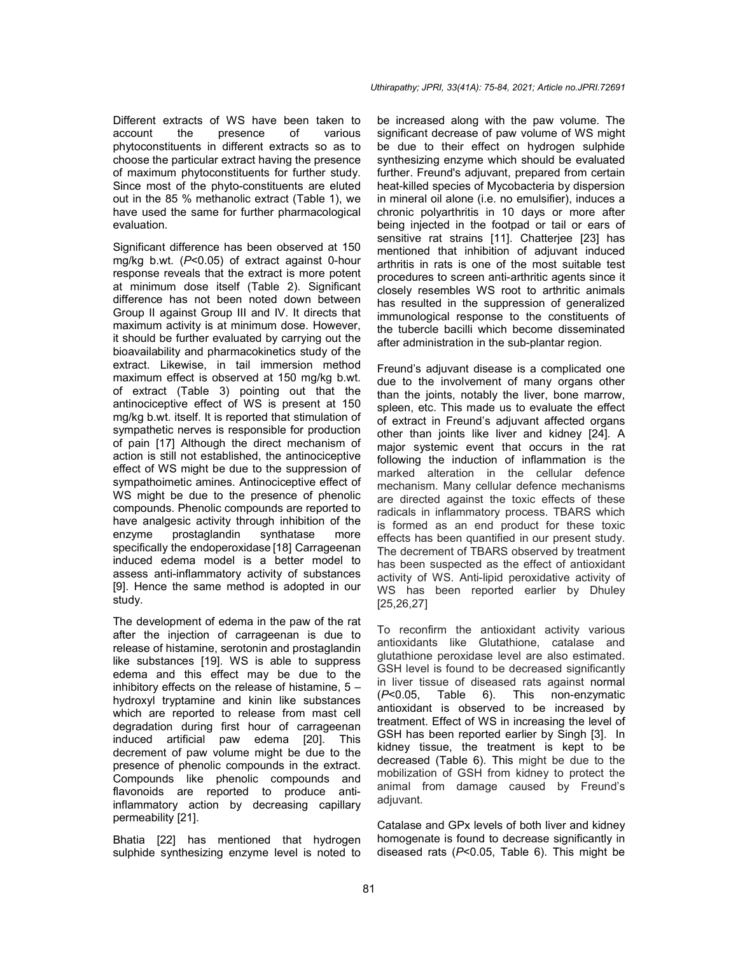Different extracts of WS have been taken to account the presence of various phytoconstituents in different extracts so as to choose the particular extract having the presence of maximum phytoconstituents for further study. Since most of the phyto-constituents are eluted out in the 85 % methanolic extract (Table 1), we have used the same for further pharmacological evaluation.

Significant difference has been observed at 150 mg/kg b.wt. (*P*<0.05) of extract against 0-hour response reveals that the extract is more potent at minimum dose itself (Table 2). Significant difference has not been noted down between Group II against Group III and IV. It directs that maximum activity is at minimum dose. However, it should be further evaluated by carrying out the bioavailability and pharmacokinetics study of the extract. Likewise, in tail immersion method maximum effect is observed at 150 mg/kg b.wt. of extract (Table 3) pointing out that the antinociceptive effect of WS is present at 150 mg/kg b.wt. itself. It is reported that stimulation of sympathetic nerves is responsible for production of pain [17] Although the direct mechanism of action is still not established, the antinociceptive effect of WS might be due to the suppression of sympathoimetic amines. Antinociceptive effect of WS might be due to the presence of phenolic compounds. Phenolic compounds are reported to have analgesic activity through inhibition of the enzyme prostaglandin synthatase more specifically the endoperoxidase [18] Carrageenan induced edema model is a better model to assess anti-inflammatory activity of substances [9]. Hence the same method is adopted in our study.

The development of edema in the paw of the rat after the injection of carrageenan is due to release of histamine, serotonin and prostaglandin like substances [19]. WS is able to suppress edema and this effect may be due to the inhibitory effects on the release of histamine,  $5$ hydroxyl tryptamine and kinin like substances which are reported to release from mast cell degradation during first hour of carrageenan induced artificial paw edema [20]. This decrement of paw volume might be due to the presence of phenolic compounds in the extract. Compounds like phenolic compounds and flavonoids are reported to produce antiinflammatory action by decreasing capillary permeability [21].

Bhatia [22] has mentioned that hydrogen sulphide synthesizing enzyme level is noted to be increased along with the paw volume. The significant decrease of paw volume of WS might be due to their effect on hydrogen sulphide synthesizing enzyme which should be evaluated further. Freund's adjuvant, prepared from certain heat-killed species of Mycobacteria by dispersion in mineral oil alone (i.e. no emulsifier), induces a chronic polyarthritis in 10 days or more after being injected in the footpad or tail or ears of sensitive rat strains [11]. Chatterjee [23] has mentioned that inhibition of adjuvant induced arthritis in rats is one of the most suitable test procedures to screen anti-arthritic agents since it closely resembles WS root to arthritic animals has resulted in the suppression of generalized immunological response to the constituents of the tubercle bacilli which become disseminated after administration in the sub-plantar region.

Freund's adjuvant disease is a complicated one due to the involvement of many organs other than the joints, notably the liver, bone marrow, spleen, etc. This made us to evaluate the effect of extract in Freund's adjuvant affected organs other than joints like liver and kidney [24]. A major systemic event that occurs in the rat following the induction of inflammation is the marked alteration in the cellular defence mechanism. Many cellular defence mechanisms are directed against the toxic effects of these radicals in inflammatory process. TBARS which is formed as an end product for these toxic effects has been quantified in our present study. The decrement of TBARS observed by treatment has been suspected as the effect of antioxidant activity of WS. Anti-lipid peroxidative activity of WS has been reported earlier by Dhuley [25,26,27]

To reconfirm the antioxidant activity various antioxidants like Glutathione, catalase and glutathione peroxidase level are also estimated. GSH level is found to be decreased significantly in liver tissue of diseased rats against normal  $(P<0.05,$  Table 6). This non-enzymatic Table 6). This non-enzymatic antioxidant is observed to be increased by treatment. Effect of WS in increasing the level of GSH has been reported earlier by Singh [3]. In kidney tissue, the treatment is kept to be decreased (Table 6). This might be due to the mobilization of GSH from kidney to protect the animal from damage caused by Freund's adjuvant.

Catalase and GPx levels of both liver and kidney homogenate is found to decrease significantly in diseased rats (*P*<0.05, Table 6). This might be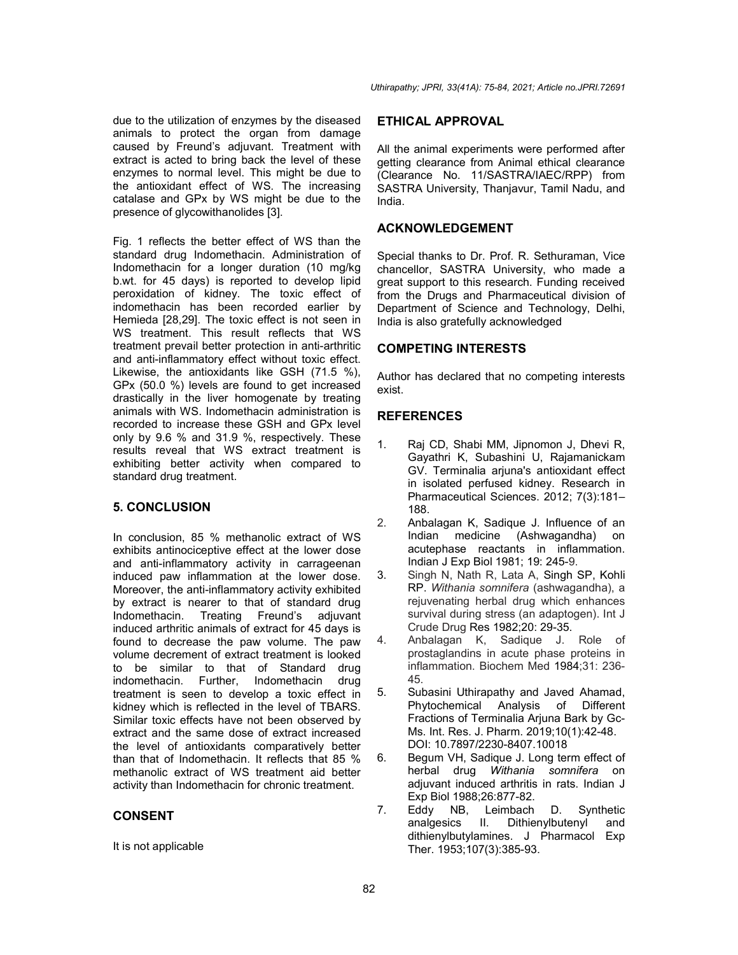due to the utilization of enzymes by the diseased animals to protect the organ from damage caused by Freund's adjuvant. Treatment with extract is acted to bring back the level of these enzymes to normal level. This might be due to the antioxidant effect of WS. The increasing catalase and GPx by WS might be due to the presence of glycowithanolides [3].

Fig. 1 reflects the better effect of WS than the standard drug Indomethacin. Administration of Indomethacin for a longer duration (10 mg/kg b.wt. for 45 days) is reported to develop lipid peroxidation of kidney. The toxic effect of indomethacin has been recorded earlier by Hemieda [28,29]. The toxic effect is not seen in WS treatment. This result reflects that WS treatment prevail better protection in anti-arthritic and anti-inflammatory effect without toxic effect. Likewise, the antioxidants like GSH (71.5 %), GPx (50.0 %) levels are found to get increased drastically in the liver homogenate by treating animals with WS. Indomethacin administration is recorded to increase these GSH and GPx level only by 9.6 % and 31.9 %, respectively. These results reveal that WS extract treatment is exhibiting better activity when compared to standard drug treatment.

# **5. CONCLUSION**

In conclusion, 85 % methanolic extract of WS exhibits antinociceptive effect at the lower dose and anti-inflammatory activity in carrageenan induced paw inflammation at the lower dose. Moreover, the anti-inflammatory activity exhibited by extract is nearer to that of standard drug<br>Indomethacin. Treating Freund's adiuvant Treating Freund's adjuvant induced arthritic animals of extract for 45 days is found to decrease the paw volume. The paw volume decrement of extract treatment is looked to be similar to that of Standard drug indomethacin. Further, Indomethacin drug treatment is seen to develop a toxic effect in kidney which is reflected in the level of TBARS. Similar toxic effects have not been observed by extract and the same dose of extract increased the level of antioxidants comparatively better than that of Indomethacin. It reflects that 85 % methanolic extract of WS treatment aid better activity than Indomethacin for chronic treatment.

### **CONSENT**

It is not applicable

### **ETHICAL APPROVAL**

All the animal experiments were performed after getting clearance from Animal ethical clearance (Clearance No. 11/SASTRA/IAEC/RPP) from SASTRA University, Thanjavur, Tamil Nadu, and India.

### **ACKNOWLEDGEMENT**

Special thanks to Dr. Prof. R. Sethuraman, Vice chancellor, SASTRA University, who made a great support to this research. Funding received from the Drugs and Pharmaceutical division of Department of Science and Technology, Delhi, India is also gratefully acknowledged

### **COMPETING INTERESTS**

Author has declared that no competing interests exist.

# **REFERENCES**

- 1. Raj CD, Shabi MM, Jipnomon J, Dhevi R, Gayathri K, Subashini U, Rajamanickam GV. Terminalia arjuna's antioxidant effect in isolated perfused kidney. Research in Pharmaceutical Sciences. 2012; 7(3):181– 188.
- 2. Anbalagan K, Sadique J. Influence of an<br>Indian medicine (Ashwagandha) on (Ashwagandha) on acutephase reactants in inflammation. Indian J Exp Biol 1981; 19: 245-9.
- 3. Singh N, Nath R, Lata A, Singh SP, Kohli RP. *Withania somnifera* (ashwagandha), a rejuvenating herbal drug which enhances survival during stress (an adaptogen). Int J Crude Drug Res 1982;20: 29-35.
- 4. Anbalagan K, Sadique J. Role of prostaglandins in acute phase proteins in inflammation. Biochem Med 1984;31: 236- 45.
- 5. Subasini Uthirapathy and Javed Ahamad, Phytochemical Analysis of Different Fractions of Terminalia Arjuna Bark by Gc-Ms. Int. Res. J. Pharm. 2019;10(1):42-48. DOI: 10.7897/2230-8407.10018
- 6. Begum VH, Sadique J. Long term effect of herbal drug *Withania somnifera* on adjuvant induced arthritis in rats. Indian J Exp Biol 1988;26:877-82.
- 7. Eddy NB, Leimbach D. Synthetic analgesics II. Dithienylbutenyl and dithienylbutylamines. J Pharmacol Exp Ther. 1953;107(3):385-93.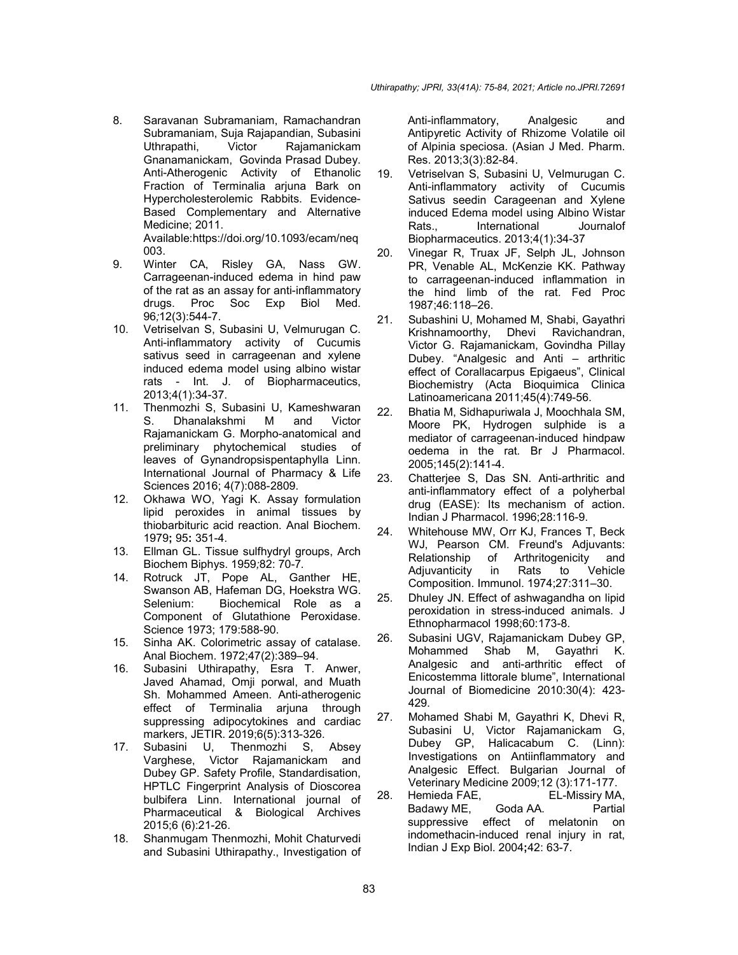8. Saravanan Subramaniam, Ramachandran Subramaniam, Suja Rajapandian, Subasini Uthrapathi, Victor Rajamanickam Gnanamanickam, Govinda Prasad Dubey. Anti-Atherogenic Activity of Ethanolic Fraction of Terminalia arjuna Bark on Hypercholesterolemic Rabbits. Evidence-Based Complementary and Alternative Medicine; 2011.

Available:https://doi.org/10.1093/ecam/neq 003.

- 9. Winter CA, Risley GA, Nass GW. Carrageenan-induced edema in hind paw of the rat as an assay for anti-inflammatory drugs. Proc Soc Exp Biol Med. 96*;*12(3):544-7.
- 10. Vetriselvan S, Subasini U, Velmurugan C. Anti-inflammatory activity of Cucumis sativus seed in carrageenan and xylene induced edema model using albino wistar rats - Int. J. of Biopharmaceutics, 2013;4(1):34-37.
- 11. Thenmozhi S, Subasini U, Kameshwaran S. Dhanalakshmi M and Victor Rajamanickam G. Morpho-anatomical and preliminary phytochemical studies of leaves of Gynandropsispentaphylla Linn. International Journal of Pharmacy & Life Sciences 2016; 4(7):088-2809.
- 12. Okhawa WO, Yagi K. Assay formulation lipid peroxides in animal tissues by thiobarbituric acid reaction. Anal Biochem. 1979**;** 95**:** 351-4.
- 13. Ellman GL. Tissue sulfhydryl groups, Arch Biochem Biphys. 1959*;*82: 70-7*.*
- 14. Rotruck JT, Pope AL, Ganther HE, Swanson AB, Hafeman DG, Hoekstra WG. Selenium: Biochemical Role as a Component of Glutathione Peroxidase. Science 1973; 179:588-90.
- 15. Sinha AK. Colorimetric assay of catalase. Anal Biochem. 1972;47(2):389–94.
- 16. Subasini Uthirapathy, Esra T. Anwer, Javed Ahamad, Omji porwal, and Muath Sh. Mohammed Ameen. Anti-atherogenic effect of Terminalia arjuna through suppressing adipocytokines and cardiac markers, JETIR. 2019;6(5):313-326.
- 17. Subasini U, Thenmozhi S, Absey Varghese, Victor Rajamanickam and Dubey GP. Safety Profile, Standardisation, HPTLC Fingerprint Analysis of Dioscorea bulbifera Linn. International journal of Pharmaceutical & Biological Archives 2015;6 (6):21-26.
- 18. Shanmugam Thenmozhi, Mohit Chaturvedi and Subasini Uthirapathy., Investigation of

Anti-inflammatory, Analgesic and Antipyretic Activity of Rhizome Volatile oil of Alpinia speciosa. (Asian J Med. Pharm. Res. 2013;3(3):82-84.

- 19. Vetriselvan S, Subasini U, Velmurugan C. Anti-inflammatory activity of Cucumis Sativus seedin Carageenan and Xylene induced Edema model using Albino Wistar Rats., International Journalof Biopharmaceutics. 2013;4(1):34-37
- 20. Vinegar R, Truax JF, Selph JL, Johnson PR, Venable AL, McKenzie KK. Pathway to carrageenan-induced inflammation in the hind limb of the rat. Fed Proc 1987;46:118–26.
- 21. Subashini U, Mohamed M, Shabi, Gayathri Krishnamoorthy, Dhevi Ravichandran, Victor G. Rajamanickam, Govindha Pillay Dubey. "Analgesic and Anti – arthritic effect of Corallacarpus Epigaeus", Clinical Biochemistry (Acta Bioquimica Clinica Latinoamericana 2011;45(4):749-56.
- 22. Bhatia M, Sidhapuriwala J, Moochhala SM, Moore PK, Hydrogen sulphide is a mediator of carrageenan-induced hindpaw oedema in the rat*.* Br J Pharmacol. 2005;145(2):141-4.
- 23. Chatterjee S, Das SN. Anti-arthritic and anti-inflammatory effect of a polyherbal drug (EASE): Its mechanism of action. Indian J Pharmacol. 1996;28:116-9.
- 24. Whitehouse MW, Orr KJ, Frances T, Beck WJ, Pearson CM. Freund's Adjuvants: Relationship of Arthritogenicity and Adjuvanticity in Rats to Vehicle Composition. Immunol. 1974;27:311–30.
- 25. Dhuley JN. Effect of ashwagandha on lipid peroxidation in stress-induced animals. J Ethnopharmacol 1998;60:173-8.
- 26. Subasini UGV, Rajamanickam Dubey GP, Mohammed Shab M, Gayathri K. Analgesic and anti-arthritic effect of Enicostemma littorale blume", International Journal of Biomedicine 2010:30(4): 423- 429.
- 27. Mohamed Shabi M, Gayathri K, Dhevi R, Subasini U, Victor Rajamanickam G, Dubey GP, Halicacabum C. (Linn): Investigations on Antiinflammatory and Analgesic Effect. Bulgarian Journal of Veterinary Medicine 2009;12 (3):171-177.
- 28. Hemieda FAE, EL-Missiry MA, Badawy ME, Goda AA. Partial suppressive effect of melatonin on indomethacin-induced renal injury in rat, Indian J Exp Biol. 2004**;**42: 63-7.